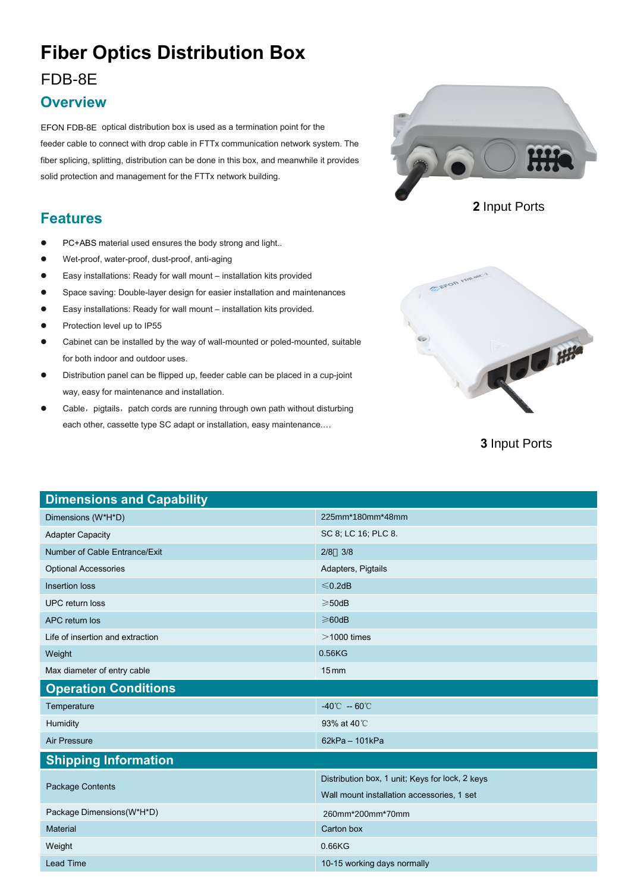# **Fiber Optics Distribution Box**

#### FDB-8E

#### **Overview**

EFON FDB-8E optical distribution box is used as a termination point for the feeder cable to connect with drop cable in FTTx communication network system. The fiber splicing, splitting, distribution can be done in this box, and meanwhile it provides solid protection and management for the FTTx network building.

### **Features**

- PC+ABS material used ensures the body strong and light..
- Wet-proof, water-proof, dust-proof, anti-aging
- Easy installations: Ready for wall mount installation kits provided
- Space saving: Double-layer design for easier installation and maintenances
- Easy installations: Ready for wall mount installation kits provided.
- Protection level up to IP55
- Cabinet can be installed by the way of wall-mounted or poled-mounted, suitable for both indoor and outdoor uses.
- Distribution panel can be flipped up, feeder cable can be placed in a cup-joint way, easy for maintenance and installation.
- Cable, pigtails, patch cords are running through own path without disturbing each other, cassette type SC adapt or installation, easy maintenance.…







**3** Input Ports

| <b>Dimensions and Capability</b> |                                                 |
|----------------------------------|-------------------------------------------------|
| Dimensions (W*H*D)               | 225mm*180mm*48mm                                |
| <b>Adapter Capacity</b>          | SC 8; LC 16; PLC 8.                             |
| Number of Cable Entrance/Exit    | $2/8$ 3/8                                       |
| <b>Optional Accessories</b>      | Adapters, Pigtails                              |
| <b>Insertion loss</b>            | $≤$ 0.2dB                                       |
| <b>UPC</b> return loss           | $\geqslant$ 50dB                                |
| APC return los                   | $\geq 60$ dB                                    |
| Life of insertion and extraction | $>$ 1000 times                                  |
| Weight                           | 0.56KG                                          |
| Max diameter of entry cable      | $15 \,\mathrm{mm}$                              |
|                                  |                                                 |
| <b>Operation Conditions</b>      |                                                 |
| Temperature                      | $-40^{\circ}$ C $-60^{\circ}$ C                 |
| Humidity                         | 93% at 40 °C                                    |
| <b>Air Pressure</b>              | $62kPa - 101kPa$                                |
| <b>Shipping Information</b>      |                                                 |
|                                  | Distribution box, 1 unit; Keys for lock, 2 keys |
| <b>Package Contents</b>          | Wall mount installation accessories, 1 set      |
| Package Dimensions(W*H*D)        | 260mm*200mm*70mm                                |
| Material                         | Carton box                                      |
| Weight                           | 0.66KG                                          |